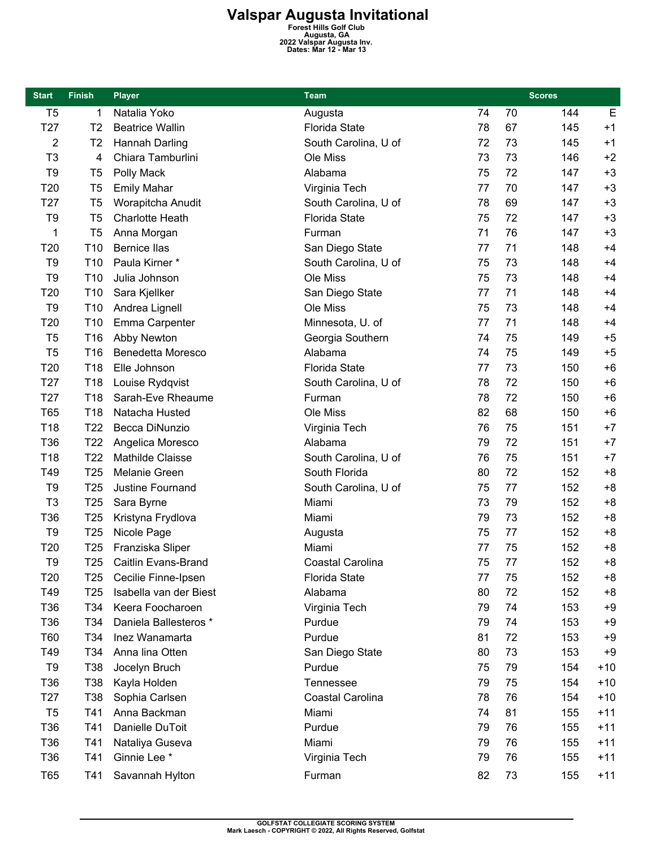## **Valspar Augusta Invitational**<br>
Forest Hills Golf Club<br>
Augusta, GA<br>
<sup>2022 Valspar Augusta Inv.<br>
Dates: Mar 12 - Mar 13</sup>

| <b>Start</b>    | <b>Finish</b>   | <b>Player</b>            | <b>Team</b>          |    | <b>Scores</b> |     |       |
|-----------------|-----------------|--------------------------|----------------------|----|---------------|-----|-------|
| T <sub>5</sub>  | 1               | Natalia Yoko             | Augusta              | 74 | 70            | 144 | E     |
| T <sub>27</sub> | T <sub>2</sub>  | <b>Beatrice Wallin</b>   | <b>Florida State</b> | 78 | 67            | 145 | $+1$  |
| $\overline{c}$  | T <sub>2</sub>  | Hannah Darling           | South Carolina, U of | 72 | 73            | 145 | $+1$  |
| T <sub>3</sub>  | 4               | Chiara Tamburlini        | Ole Miss             | 73 | 73            | 146 | $+2$  |
| T <sub>9</sub>  | T <sub>5</sub>  | Polly Mack               | Alabama              | 75 | 72            | 147 | $+3$  |
| T <sub>20</sub> | T <sub>5</sub>  | <b>Emily Mahar</b>       | Virginia Tech        | 77 | 70            | 147 | $+3$  |
| T <sub>27</sub> | T <sub>5</sub>  | Worapitcha Anudit        | South Carolina, U of | 78 | 69            | 147 | $+3$  |
| T <sub>9</sub>  | T <sub>5</sub>  | <b>Charlotte Heath</b>   | <b>Florida State</b> | 75 | 72            | 147 | $+3$  |
| 1               | T <sub>5</sub>  | Anna Morgan              | Furman               | 71 | 76            | 147 | $+3$  |
| T20             | T <sub>10</sub> | <b>Bernice Ilas</b>      | San Diego State      | 77 | 71            | 148 | $+4$  |
| T <sub>9</sub>  | T <sub>10</sub> | Paula Kirner*            | South Carolina, U of | 75 | 73            | 148 | $+4$  |
| T <sub>9</sub>  | T <sub>10</sub> | Julia Johnson            | Ole Miss             | 75 | 73            | 148 | $+4$  |
| T20             | T10             | Sara Kjellker            | San Diego State      | 77 | 71            | 148 | $+4$  |
| T <sub>9</sub>  | T <sub>10</sub> | Andrea Lignell           | Ole Miss             | 75 | 73            | 148 | $+4$  |
| T20             | T <sub>10</sub> | Emma Carpenter           | Minnesota, U. of     | 77 | 71            | 148 | $+4$  |
| T <sub>5</sub>  | T16             | Abby Newton              | Georgia Southern     | 74 | 75            | 149 | $+5$  |
| T <sub>5</sub>  | T16             | <b>Benedetta Moresco</b> | Alabama              | 74 | 75            | 149 | $+5$  |
| T20             | T18             | Elle Johnson             | <b>Florida State</b> | 77 | 73            | 150 | $+6$  |
| T <sub>27</sub> | T18             | Louise Rydqvist          | South Carolina, U of | 78 | 72            | 150 | $+6$  |
| T <sub>27</sub> | T18             | Sarah-Eve Rheaume        | Furman               | 78 | 72            | 150 | $+6$  |
| <b>T65</b>      | T18             | Natacha Husted           | Ole Miss             | 82 | 68            | 150 | $+6$  |
| T18             | T <sub>22</sub> | Becca DiNunzio           | Virginia Tech        | 76 | 75            | 151 | $+7$  |
| T36             | T <sub>22</sub> | Angelica Moresco         | Alabama              | 79 | 72            | 151 | $+7$  |
| T18             | T <sub>22</sub> | Mathilde Claisse         | South Carolina, U of | 76 | 75            | 151 | $+7$  |
| T49             | T25             | Melanie Green            | South Florida        | 80 | 72            | 152 | $+8$  |
| T <sub>9</sub>  | T <sub>25</sub> | Justine Fournand         | South Carolina, U of | 75 | 77            | 152 | $+8$  |
| T <sub>3</sub>  | T <sub>25</sub> | Sara Byrne               | Miami                | 73 | 79            | 152 | $+8$  |
| T36             | T <sub>25</sub> | Kristyna Frydlova        | Miami                | 79 | 73            | 152 | $+8$  |
| T <sub>9</sub>  | T <sub>25</sub> | Nicole Page              | Augusta              | 75 | 77            | 152 | $+8$  |
| T20             | T <sub>25</sub> | Franziska Sliper         | Miami                | 77 | 75            | 152 | $+8$  |
| T <sub>9</sub>  | T <sub>25</sub> | Caitlin Evans-Brand      | Coastal Carolina     | 75 | 77            | 152 | $+8$  |
| T <sub>20</sub> | T25             | Cecilie Finne-Ipsen      | <b>Florida State</b> | 77 | 75            | 152 | $+8$  |
| T49             | T <sub>25</sub> | Isabella van der Biest   | Alabama              | 80 | 72            | 152 | $+8$  |
| T36             | T34             | Keera Foocharoen         | Virginia Tech        | 79 | 74            | 153 | $+9$  |
| T <sub>36</sub> | T34             | Daniela Ballesteros *    | Purdue               | 79 | 74            | 153 | $+9$  |
| <b>T60</b>      | T34             | Inez Wanamarta           | Purdue               | 81 | 72            | 153 | $+9$  |
| T49             | T34             | Anna lina Otten          | San Diego State      | 80 | 73            | 153 | $+9$  |
| T <sub>9</sub>  | T38             | Jocelyn Bruch            | Purdue               | 75 | 79            | 154 | $+10$ |
| T36             | T38             | Kayla Holden             | Tennessee            | 79 | 75            | 154 | $+10$ |
| T <sub>27</sub> | T38             | Sophia Carlsen           | Coastal Carolina     | 78 | 76            | 154 | $+10$ |
| T <sub>5</sub>  | T41             | Anna Backman             | Miami                | 74 | 81            | 155 | $+11$ |
| T36             | T41             | Danielle DuToit          | Purdue               | 79 | 76            | 155 | $+11$ |
| T36             | T41             | Nataliya Guseva          | Miami                | 79 | 76            | 155 | $+11$ |
| T <sub>36</sub> | T41             | Ginnie Lee *             | Virginia Tech        | 79 | 76            | 155 | $+11$ |
| <b>T65</b>      | T41             | Savannah Hylton          | Furman               | 82 | 73            | 155 | $+11$ |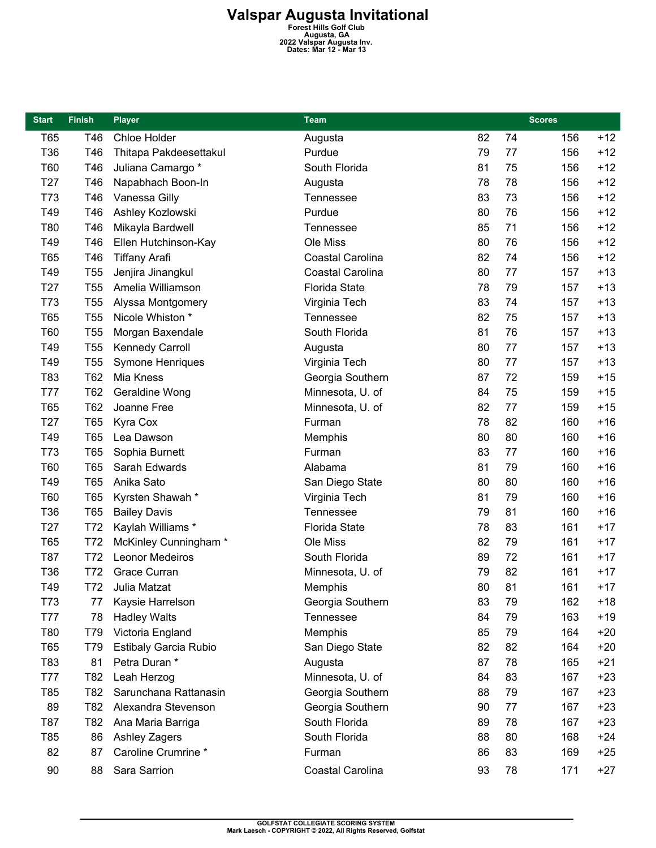## **Valspar Augusta Invitational**<br>
Forest Hills Golf Club<br>
Augusta, GA<br>
<sup>2022 Valspar Augusta Inv.<br>
Dates: Mar 12 - Mar 13</sup>

| <b>Start</b>    | <b>Finish</b>   | <b>Player</b>          | <b>Team</b>          | <b>Scores</b> |    |     |       |
|-----------------|-----------------|------------------------|----------------------|---------------|----|-----|-------|
| T65             | T46             | Chloe Holder           | Augusta              | 82            | 74 | 156 | $+12$ |
| T36             | T46             | Thitapa Pakdeesettakul | Purdue               | 79            | 77 | 156 | $+12$ |
| T60             | T46             | Juliana Camargo *      | South Florida        | 81            | 75 | 156 | $+12$ |
| T <sub>27</sub> | T46             | Napabhach Boon-In      | Augusta              | 78            | 78 | 156 | $+12$ |
| T73             | T46             | Vanessa Gilly          | Tennessee            | 83            | 73 | 156 | $+12$ |
| T49             | T46             | Ashley Kozlowski       | Purdue               | 80            | 76 | 156 | $+12$ |
| T80             | T46             | Mikayla Bardwell       | Tennessee            | 85            | 71 | 156 | $+12$ |
| T49             | T46             | Ellen Hutchinson-Kay   | Ole Miss             | 80            | 76 | 156 | $+12$ |
| T65             | T46             | <b>Tiffany Arafi</b>   | Coastal Carolina     | 82            | 74 | 156 | $+12$ |
| T49             | T <sub>55</sub> | Jenjira Jinangkul      | Coastal Carolina     | 80            | 77 | 157 | $+13$ |
| T <sub>27</sub> | T <sub>55</sub> | Amelia Williamson      | Florida State        | 78            | 79 | 157 | $+13$ |
| T73             | T <sub>55</sub> | Alyssa Montgomery      | Virginia Tech        | 83            | 74 | 157 | $+13$ |
| T65             | <b>T55</b>      | Nicole Whiston *       | Tennessee            | 82            | 75 | 157 | $+13$ |
| T60             | T <sub>55</sub> | Morgan Baxendale       | South Florida        | 81            | 76 | 157 | $+13$ |
| T49             | T <sub>55</sub> | Kennedy Carroll        | Augusta              | 80            | 77 | 157 | $+13$ |
| T49             | <b>T55</b>      | Symone Henriques       | Virginia Tech        | 80            | 77 | 157 | $+13$ |
| T83             | T62             | Mia Kness              | Georgia Southern     | 87            | 72 | 159 | $+15$ |
| T77             | T62             | Geraldine Wong         | Minnesota, U. of     | 84            | 75 | 159 | $+15$ |
| T65             | T62             | Joanne Free            | Minnesota, U. of     | 82            | 77 | 159 | $+15$ |
| T <sub>27</sub> | <b>T65</b>      | Kyra Cox               | Furman               | 78            | 82 | 160 | $+16$ |
| T49             | <b>T65</b>      | Lea Dawson             | Memphis              | 80            | 80 | 160 | $+16$ |
| T73             | <b>T65</b>      | Sophia Burnett         | Furman               | 83            | 77 | 160 | $+16$ |
| T60             | T65             | Sarah Edwards          | Alabama              | 81            | 79 | 160 | $+16$ |
| T49             | T65             | Anika Sato             | San Diego State      | 80            | 80 | 160 | $+16$ |
| T60             | <b>T65</b>      | Kyrsten Shawah*        | Virginia Tech        | 81            | 79 | 160 | $+16$ |
| T36             | <b>T65</b>      | <b>Bailey Davis</b>    | Tennessee            | 79            | 81 | 160 | $+16$ |
| T <sub>27</sub> | T72             | Kaylah Williams*       | <b>Florida State</b> | 78            | 83 | 161 | $+17$ |
| T65             | T72             | McKinley Cunningham *  | Ole Miss             | 82            | 79 | 161 | $+17$ |
| T87             | T72             | Leonor Medeiros        | South Florida        | 89            | 72 | 161 | $+17$ |
| T36             | T72             | <b>Grace Curran</b>    | Minnesota, U. of     | 79            | 82 | 161 | $+17$ |
| T49             | T72             | Julia Matzat           | Memphis              | 80            | 81 | 161 | $+17$ |
| T73             | 77              | Kaysie Harrelson       | Georgia Southern     | 83            | 79 | 162 | $+18$ |
| T77             | 78              | <b>Hadley Walts</b>    | Tennessee            | 84            | 79 | 163 | $+19$ |
| T80             | T79             | Victoria England       | Memphis              | 85            | 79 | 164 | $+20$ |
| <b>T65</b>      | T79             | Estibaly Garcia Rubio  | San Diego State      | 82            | 82 | 164 | $+20$ |
| T83             | 81              | Petra Duran *          | Augusta              | 87            | 78 | 165 | $+21$ |
| <b>T77</b>      | T82             | Leah Herzog            | Minnesota, U. of     | 84            | 83 | 167 | $+23$ |
| T85             | T82             | Sarunchana Rattanasin  | Georgia Southern     | 88            | 79 | 167 | $+23$ |
| 89              | T82             | Alexandra Stevenson    | Georgia Southern     | 90            | 77 | 167 | $+23$ |
| T87             | T82             | Ana Maria Barriga      | South Florida        | 89            | 78 | 167 | $+23$ |
| T85             | 86              | Ashley Zagers          | South Florida        | 88            | 80 | 168 | $+24$ |
| 82              | 87              | Caroline Crumrine *    | Furman               | 86            | 83 | 169 | $+25$ |
| 90              | 88              | Sara Sarrion           | Coastal Carolina     | 93            | 78 | 171 | $+27$ |